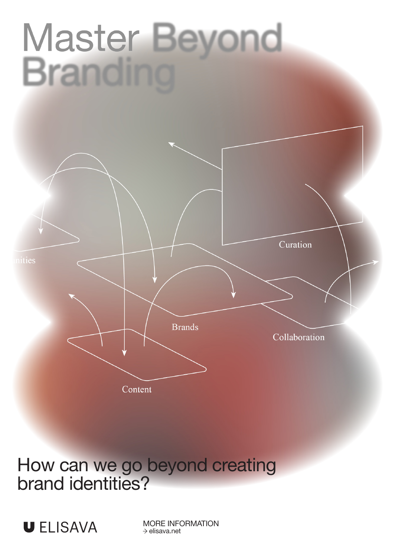# Master Beyond **Branding**



How can we go beyond creating brand identities?



MORE INFORMATION  $\rightarrow$  elisava.net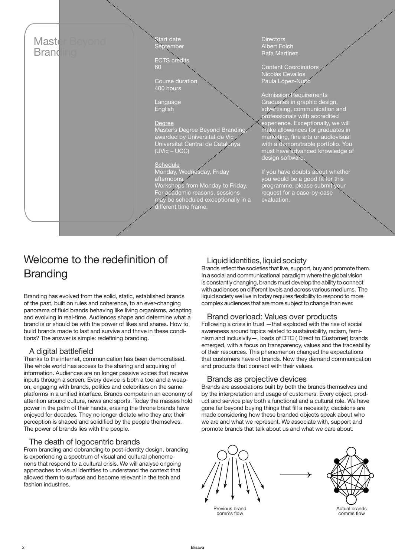

# Welcome to the redefinition of Branding

Branding has evolved from the solid, static, established brands of the past, built on rules and coherence, to an ever-changing panorama of fluid brands behaving like living organisms, adapting and evolving in real-time. Audiences shape and determine what a brand is or should be with the power of likes and shares. How to build brands made to last and survive and thrive in these conditions? The answer is simple: redefining branding.

#### A digital battlefield

Thanks to the internet, communication has been democratised. The whole world has access to the sharing and acquiring of information. Audiences are no longer passive voices that receive inputs through a screen. Every device is both a tool and a weapon, engaging with brands, politics and celebrities on the same platforms in a unified interface. Brands compete in an economy of attention around culture, news and sports. Today the masses hold power in the palm of their hands, erasing the throne brands have enjoyed for decades. They no longer dictate who they are; their perception is shaped and solidified by the people themselves. The power of brands lies with the people.

## The death of logocentric brands

From branding and debranding to post-identity design, branding is experiencing a spectrum of visual and cultural phenomenons that respond to a cultural crisis. We will analyse ongoing approaches to visual identities to understand the context that allowed them to surface and become relevant in the tech and fashion industries.

# Liquid identities, liquid society

Brands reflect the societies that live, support, buy and promote them. In a social and communicational paradigm where the global vision is constantly changing, brands must develop the ability to connect with audiences on different levels and across various mediums. The liquid society we live in today requires flexibility to respond to more complex audiences that are more subject to change than ever.

## Brand overload: Values over products

Following a crisis in trust —that exploded with the rise of social awareness around topics related to sustainability, racism, feminism and inclusivity—, loads of DTC ( Direct to Customer) brands emerged, with a focus on transparency, values and the traceability of their resources. This phenomenon changed the expectations that customers have of brands. Now they demand communication and products that connect with their values.

## Brands as projective devices

Brands are associations built by both the brands themselves and by the interpretation and usage of customers. Every object, product and service play both a functional and a cultural role. We have gone far beyond buying things that fill a necessity; decisions are made considering how these branded objects speak about who we are and what we represent. We associate with, support and promote brands that talk about us and what we care about.



Previous brand comms flow

Actual brands comms flow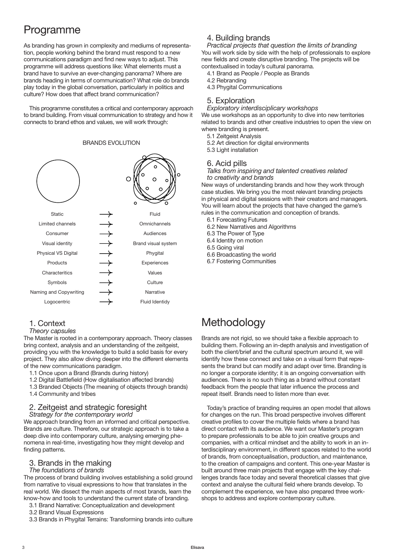# Programme

As branding has grown in complexity and mediums of representation, people working behind the brand must respond to a new communications paradigm and find new ways to adjust. This programme will address questions like: What elements must a brand have to survive an ever-changing panorama? Where are brands heading in terms of communication? What role do brands play today in the global conversation, particularly in politics and culture? How does that affect brand communication?

This programme constitutes a critical and contemporary approach to brand building. From visual communication to strategy and how it connects to brand ethos and values, we will work through:

∩ **Static** Fluid ┼┼┼┼┼┼┼┼ Limited channels **Omnichannels** Consumer Audiences Visual identity Brand visual system Physical VS Digital Phygital Products Experiences **Characteritics** Values Symbols Culture Naming and Copywriting Narrative Logocentric Fluid Identidy

# BRANDS EVOLUTION

#### 1. Context

*Theory capsules*

The Master is rooted in a contemporary approach. Theory classes bring context, analysis and an understanding of the zeitgeist, providing you with the knowledge to build a solid basis for every project. They also allow diving deeper into the different elements of the new communications paradigm.

- 1.1 Once upon a Brand (Brands during history)
- 1.2 Digital Battlefield (How digitalisation affected brands)
- 1.3 Branded Objects (The meaning of objects through brands) 1.4 Community and tribes

#### 2. Zeitgeist and strategic foresight *Strategy for the contemporary world*

We approach branding from an informed and critical perspective. Brands are culture. Therefore, our strategic approach is to take a deep dive into contemporary culture, analysing emerging phenomena in real-time, investigating how they might develop and finding patterns.

#### 3. Brands in the making

#### *The foundations of brands*

The process of brand building involves establishing a solid ground from narrative to visual expressions to how that translates in the real world. We dissect the main aspects of most brands, learn the know-how and tools to understand the current state of branding.

- 3.1 Brand Narrative: Conceptualization and development
- 3.2 Brand Visual Expressions
- 3.3 Brands in Phygital Terrains: Transforming brands into culture

## 4. Building brands

*Practical projects that question the limits of branding* You will work side by side with the help of professionals to explore new fields and create disruptive branding. The projects will be contextualised in today's cultural panorama.

- 4.1 Brand as People / People as Brands
- 4.2 Rebranding
- 4.3 Phygital Communications

#### 5. Exploration

*Exploratory interdisciplicary workshops* We use workshops as an opportunity to dive into new territories

related to brands and other creative industries to open the view on where branding is present.

- 5.1 Zeitgeist Analysis
- 5.2 Art direction for digital environments
- 5.3 Light installation

#### 6. Acid pills

*Talks from inspiring and talented creatives related to creativity and brands*

New ways of understanding brands and how they work through case studies. We bring you the most relevant branding projects in physical and digital sessions with their creators and managers. You will learn about the projects that have changed the game's rules in the communication and conception of brands.

- 6.1 Forecasting Futures
- 6.2 New Narratives and Algorithms
- 6.3 The Power of Type
- 6.4 Identity on motion

6.5 Going viral

- 6.6 Broadcasting the world
- 6.7 Fostering Communities

# Methodology

Brands are not rigid, so we should take a flexible approach to building them. Following an in-depth analysis and investigation of both the client/brief and the cultural spectrum around it, we will identify how these connect and take on a visual form that represents the brand but can modify and adapt over time. Branding is no longer a corporate identity; it is an ongoing conversation with audiences. There is no such thing as a brand without constant feedback from the people that later influence the process and repeat itself. Brands need to listen more than ever.

Today's practice of branding requires an open model that allows for changes on the run. This broad perspective involves different creative profiles to cover the multiple fields where a brand has direct contact with its audience. We want our Master's program to prepare professionals to be able to join creative groups and companies, with a critical mindset and the ability to work in an interdisciplinary environment, in different spaces related to the world of brands, from conceptualisation, production, and maintenance, to the creation of campaigns and content. This one-year Master is built around three main projects that engage with the key challenges brands face today and several theoretical classes that give context and analyse the cultural field where brands develop. To complement the experience, we have also prepared three workshops to address and explore contemporary culture.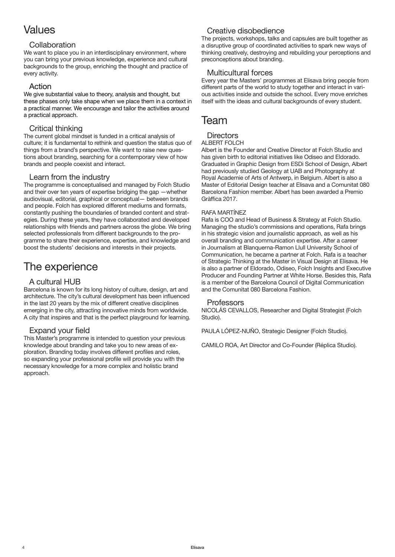# Values

#### **Collaboration**

We want to place you in an interdisciplinary environment, where you can bring your previous knowledge, experience and cultural backgrounds to the group, enriching the thought and practice of every activity.

### Action

We give substantial value to theory, analysis and thought, but these phases only take shape when we place them in a context in a practical manner. We encourage and tailor the activities around a practical approach.

## Critical thinking

The current global mindset is funded in a critical analysis of culture; it is fundamental to rethink and question the status quo of things from a brand's perspective. We want to raise new questions about branding, searching for a contemporary view of how brands and people coexist and interact.

#### Learn from the industry

The programme is conceptualised and managed by Folch Studio and their over ten years of expertise bridging the gap —whether audiovisual, editorial, graphical or conceptual— between brands and people. Folch has explored different mediums and formats, constantly pushing the boundaries of branded content and strategies. During these years, they have collaborated and developed relationships with friends and partners across the globe. We bring selected professionals from different backgrounds to the programme to share their experience, expertise, and knowledge and boost the students' decisions and interests in their projects.

# The experience

# A cultural HUB

Barcelona is known for its long history of culture, design, art and architecture. The city's cultural development has been influenced in the last 20 years by the mix of different creative disciplines emerging in the city, attracting innovative minds from worldwide. A city that inspires and that is the perfect playground for learning.

## Expand your field

This Master's programme is intended to question your previous knowledge about branding and take you to new areas of exploration. Branding today involves different profiles and roles, so expanding your professional profile will provide you with the necessary knowledge for a more complex and holistic brand approach.

# Creative disobedience

The projects, workshops, talks and capsules are built together as a disruptive group of coordinated activities to spark new ways of thinking creatively, destroying and rebuilding your perceptions and preconceptions about branding.

## Multicultural forces

Every year the Masters' programmes at Elisava bring people from different parts of the world to study together and interact in various activities inside and outside the school. Every move enriches itself with the ideas and cultural backgrounds of every student.

# Team

#### **Directors**

#### ALBERT FOLCH

Albert is the Founder and Creative Director at Folch Studio and has given birth to editorial initiatives like Odiseo and Eldorado. Graduated in Graphic Design from ESDi School of Design, Albert had previously studied Geology at UAB and Photography at Royal Academie of Arts of Antwerp, in Belgium. Albert is also a Master of Editorial Design teacher at Elisava and a Comunitat 080 Barcelona Fashion member. Albert has been awarded a Premio Gràffica 2017.

#### RAFA MARTÍNEZ

Rafa is COO and Head of Business & Strategy at Folch Studio. Managing the studio's commissions and operations, Rafa brings in his strategic vision and journalistic approach, as well as his overall branding and communication expertise. After a career in Journalism at Blanquerna-Ramon Llull University School of Communication, he became a partner at Folch. Rafa is a teacher of Strategic Thinking at the Master in Visual Design at Elisava. He is also a partner of Eldorado, Odiseo, Folch Insights and Executive Producer and Founding Partner at White Horse. Besides this, Rafa is a member of the Barcelona Council of Digital Communication and the Comunitat 080 Barcelona Fashion.

#### **Professors**

NICOLÁS CEVALLOS, Researcher and Digital Strategist (Folch Studio).

PAULA LÓPEZ-NUÑO, Strategic Designer (Folch Studio).

CAMILO ROA, Art Director and Co-Founder (Réplica Studio).